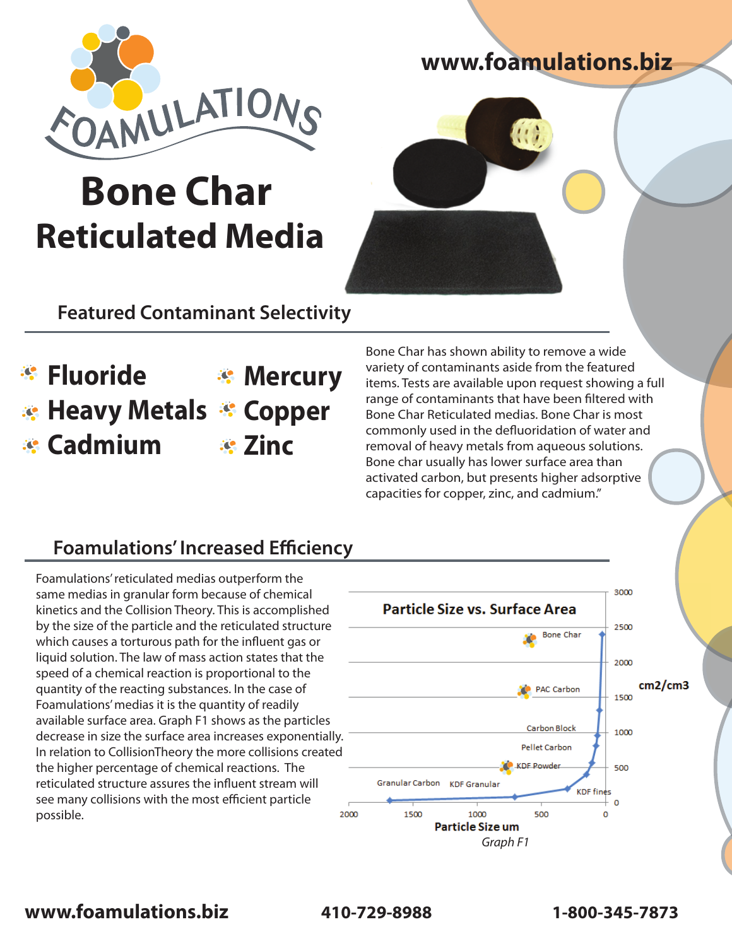

# **Bone Char Reticulated Media**

# **www.foamulations.biz**



# **Featured Contaminant Selectivity**

#### **Fluoride Heavy Metals Copper Cadmium Mercury Zinc**

Bone Char has shown ability to remove a wide variety of contaminants aside from the featured items. Tests are available upon request showing a full range of contaminants that have been filtered with Bone Char Reticulated medias. Bone Char is most commonly used in the defluoridation of water and removal of heavy metals from aqueous solutions. Bone char usually has lower surface area than activated carbon, but presents higher adsorptive capacities for copper, zinc, and cadmium."

# **Foamulations' Increased Efficiency**

Foamulations' reticulated medias outperform the same medias in granular form because of chemical kinetics and the Collision Theory. This is accomplished by the size of the particle and the reticulated structure which causes a torturous path for the influent gas or liquid solution. The law of mass action states that the speed of a chemical reaction is proportional to the quantity of the reacting substances. In the case of Foamulations' medias it is the quantity of readily available surface area. Graph F1 shows as the particles decrease in size the surface area increases exponentially. In relation to CollisionTheory the more collisions created the higher percentage of chemical reactions. The reticulated structure assures the influent stream will see many collisions with the most efficient particle possible.